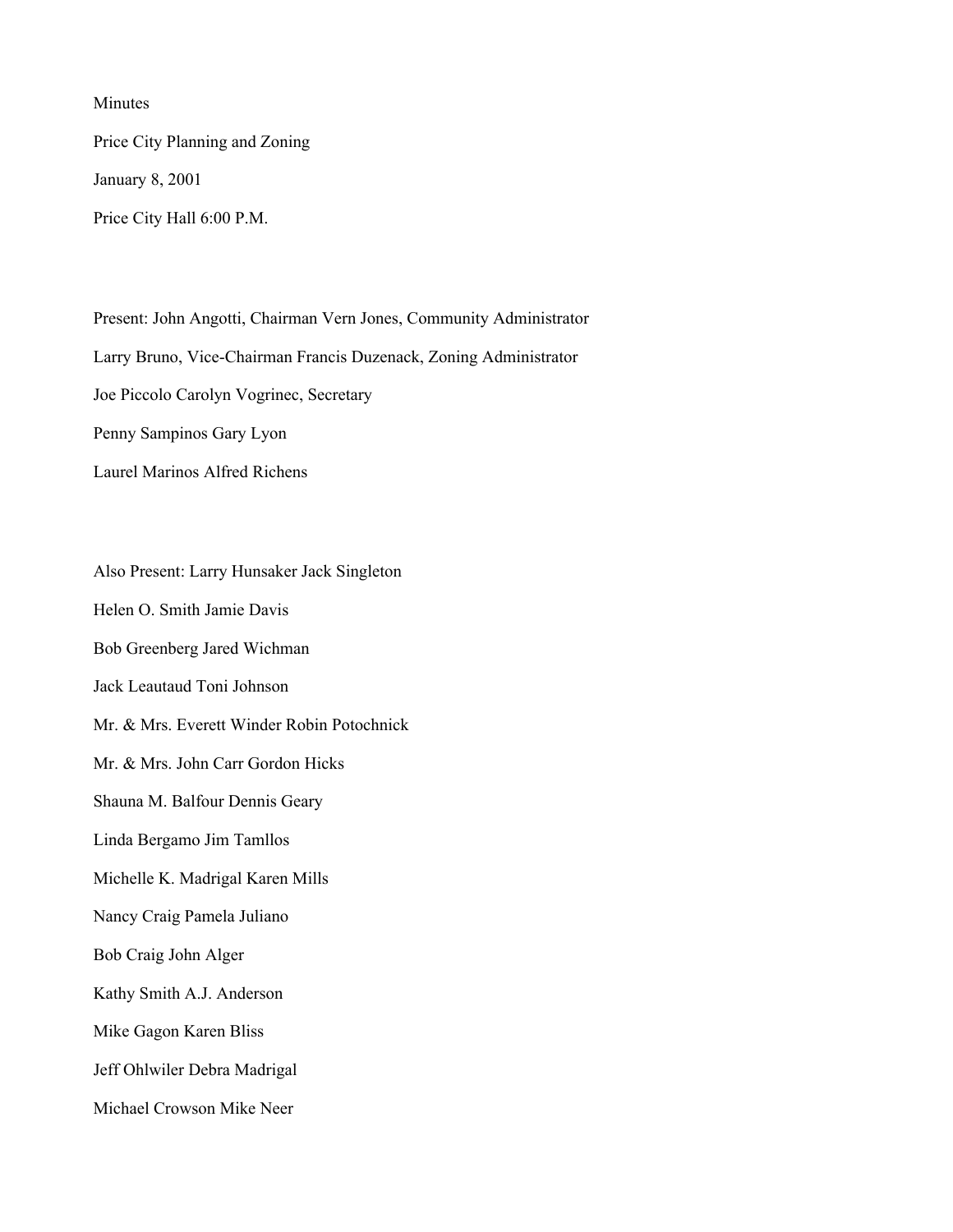Minutes

Price City Planning and Zoning January 8, 2001 Price City Hall 6:00 P.M.

Present: John Angotti, Chairman Vern Jones, Community Administrator Larry Bruno, Vice-Chairman Francis Duzenack, Zoning Administrator Joe Piccolo Carolyn Vogrinec, Secretary Penny Sampinos Gary Lyon Laurel Marinos Alfred Richens

Also Present: Larry Hunsaker Jack Singleton Helen O. Smith Jamie Davis Bob Greenberg Jared Wichman Jack Leautaud Toni Johnson Mr. & Mrs. Everett Winder Robin Potochnick Mr. & Mrs. John Carr Gordon Hicks Shauna M. Balfour Dennis Geary Linda Bergamo Jim Tamllos Michelle K. Madrigal Karen Mills Nancy Craig Pamela Juliano Bob Craig John Alger Kathy Smith A.J. Anderson Mike Gagon Karen Bliss Jeff Ohlwiler Debra Madrigal Michael Crowson Mike Neer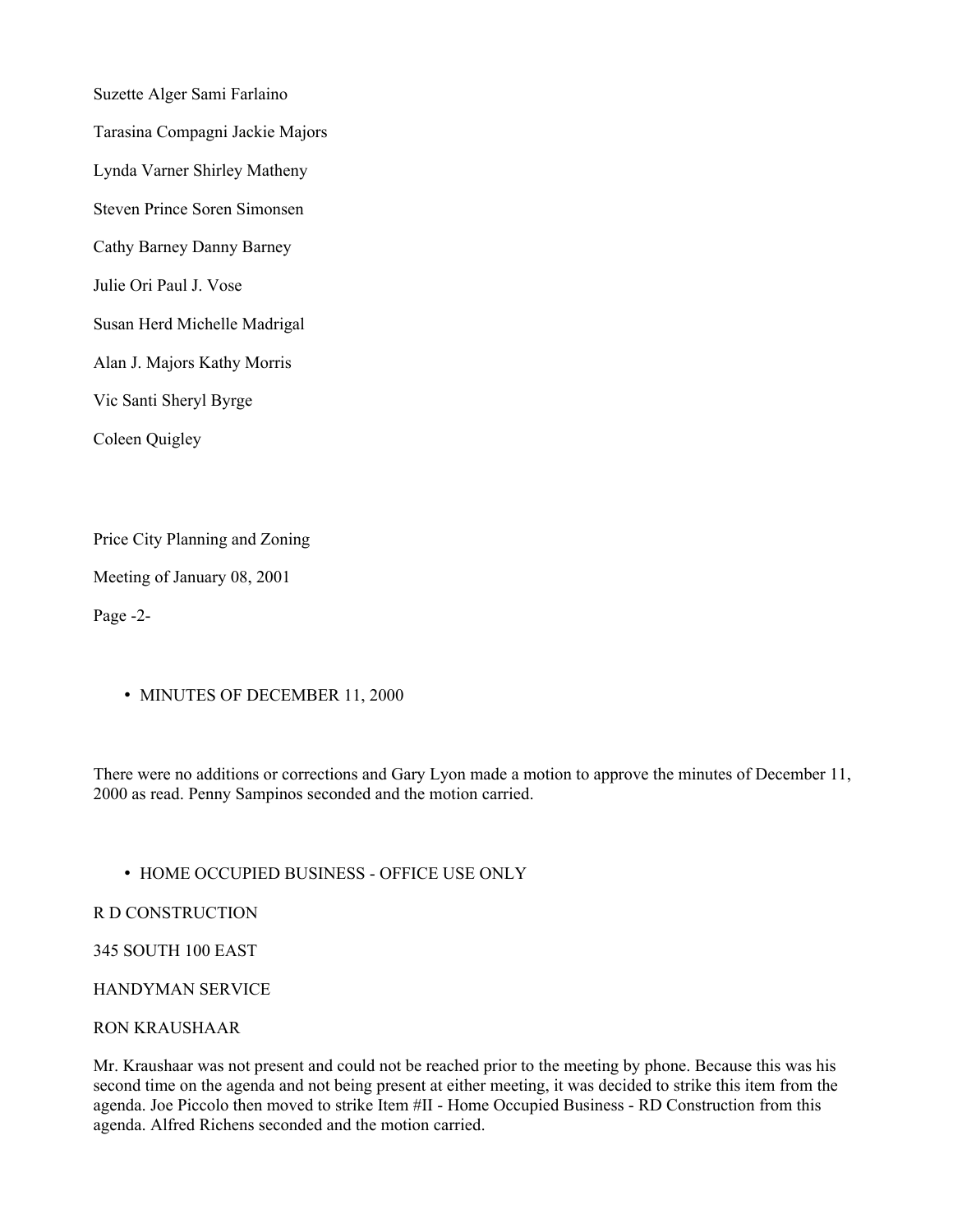Suzette Alger Sami Farlaino Tarasina Compagni Jackie Majors Lynda Varner Shirley Matheny Steven Prince Soren Simonsen Cathy Barney Danny Barney Julie Ori Paul J. Vose Susan Herd Michelle Madrigal Alan J. Majors Kathy Morris Vic Santi Sheryl Byrge Coleen Quigley

Price City Planning and Zoning

Meeting of January 08, 2001

Page -2-

• MINUTES OF DECEMBER 11, 2000

There were no additions or corrections and Gary Lyon made a motion to approve the minutes of December 11, 2000 as read. Penny Sampinos seconded and the motion carried.

### • HOME OCCUPIED BUSINESS - OFFICE USE ONLY

#### R D CONSTRUCTION

345 SOUTH 100 EAST

### HANDYMAN SERVICE

#### RON KRAUSHAAR

Mr. Kraushaar was not present and could not be reached prior to the meeting by phone. Because this was his second time on the agenda and not being present at either meeting, it was decided to strike this item from the agenda. Joe Piccolo then moved to strike Item #II - Home Occupied Business - RD Construction from this agenda. Alfred Richens seconded and the motion carried.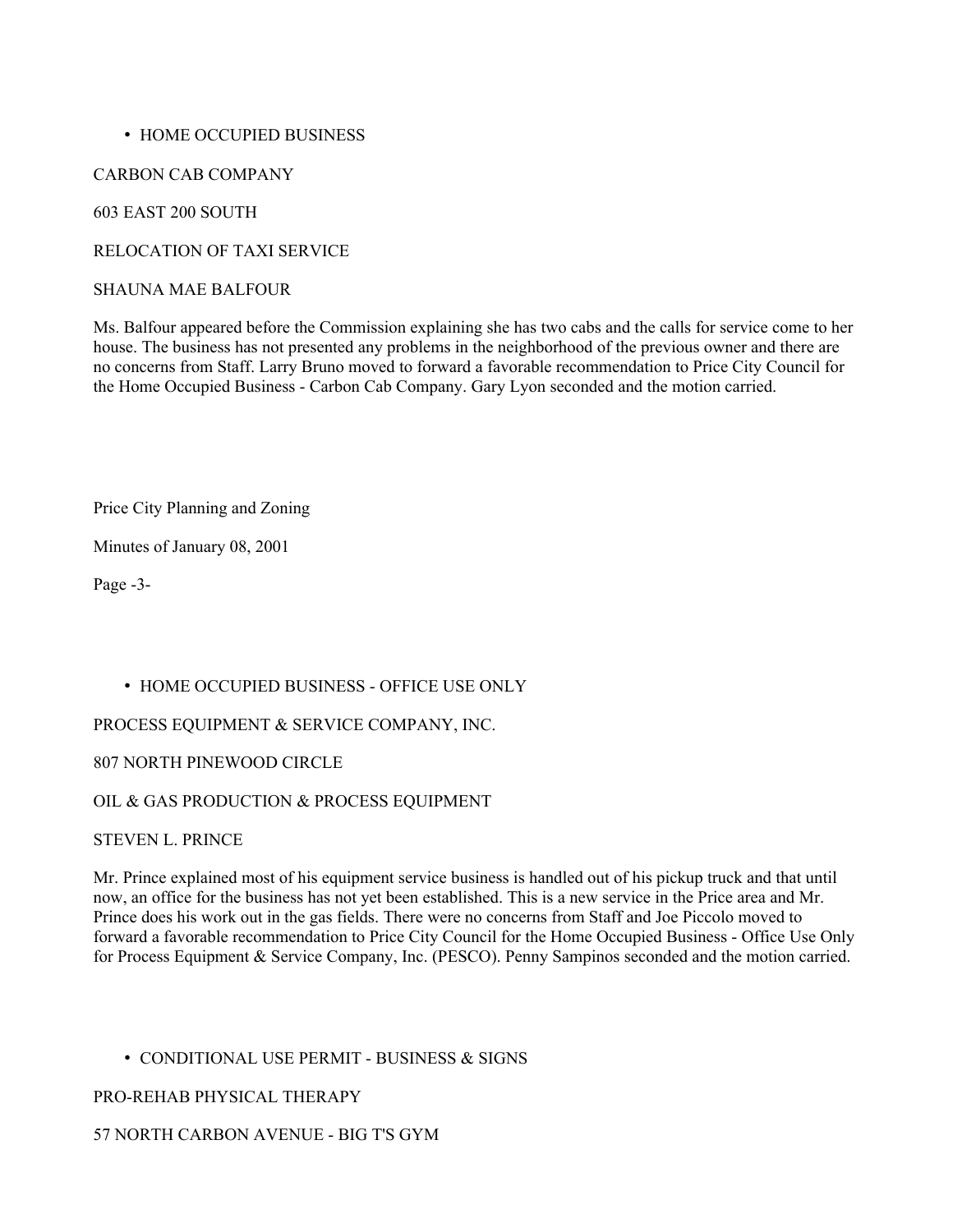### • HOME OCCUPIED BUSINESS

CARBON CAB COMPANY

603 EAST 200 SOUTH

RELOCATION OF TAXI SERVICE

### SHAUNA MAE BALFOUR

Ms. Balfour appeared before the Commission explaining she has two cabs and the calls for service come to her house. The business has not presented any problems in the neighborhood of the previous owner and there are no concerns from Staff. Larry Bruno moved to forward a favorable recommendation to Price City Council for the Home Occupied Business - Carbon Cab Company. Gary Lyon seconded and the motion carried.

Price City Planning and Zoning

Minutes of January 08, 2001

Page -3-

# • HOME OCCUPIED BUSINESS - OFFICE USE ONLY

PROCESS EQUIPMENT & SERVICE COMPANY, INC.

807 NORTH PINEWOOD CIRCLE

# OIL & GAS PRODUCTION & PROCESS EQUIPMENT

STEVEN L. PRINCE

Mr. Prince explained most of his equipment service business is handled out of his pickup truck and that until now, an office for the business has not yet been established. This is a new service in the Price area and Mr. Prince does his work out in the gas fields. There were no concerns from Staff and Joe Piccolo moved to forward a favorable recommendation to Price City Council for the Home Occupied Business - Office Use Only for Process Equipment & Service Company, Inc. (PESCO). Penny Sampinos seconded and the motion carried.

# • CONDITIONAL USE PERMIT - BUSINESS & SIGNS

# PRO-REHAB PHYSICAL THERAPY

# 57 NORTH CARBON AVENUE - BIG T'S GYM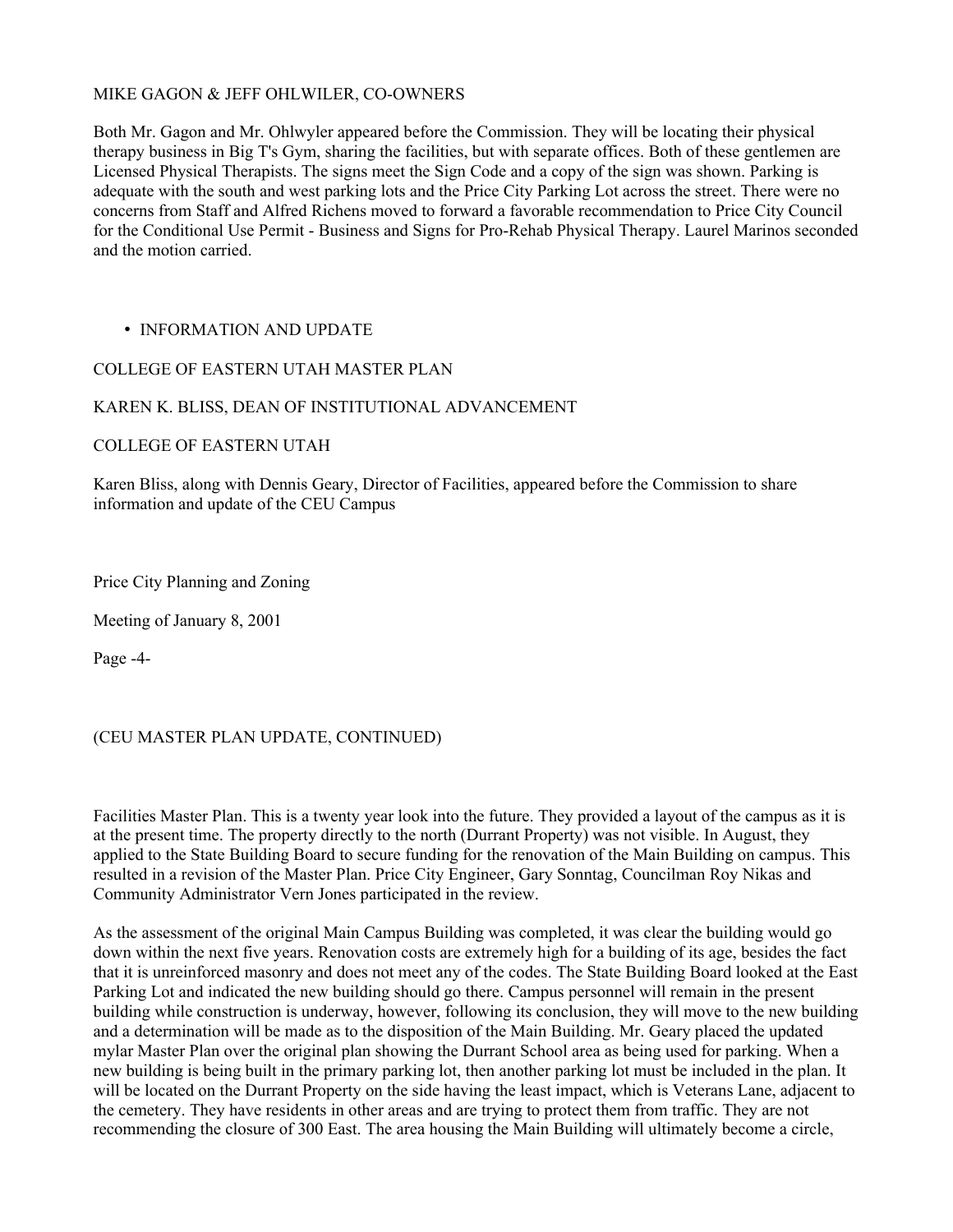### MIKE GAGON & JEFF OHLWILER, CO-OWNERS

Both Mr. Gagon and Mr. Ohlwyler appeared before the Commission. They will be locating their physical therapy business in Big T's Gym, sharing the facilities, but with separate offices. Both of these gentlemen are Licensed Physical Therapists. The signs meet the Sign Code and a copy of the sign was shown. Parking is adequate with the south and west parking lots and the Price City Parking Lot across the street. There were no concerns from Staff and Alfred Richens moved to forward a favorable recommendation to Price City Council for the Conditional Use Permit - Business and Signs for Pro-Rehab Physical Therapy. Laurel Marinos seconded and the motion carried.

### • INFORMATION AND UPDATE

### COLLEGE OF EASTERN UTAH MASTER PLAN

### KAREN K. BLISS, DEAN OF INSTITUTIONAL ADVANCEMENT

### COLLEGE OF EASTERN UTAH

Karen Bliss, along with Dennis Geary, Director of Facilities, appeared before the Commission to share information and update of the CEU Campus

Price City Planning and Zoning

Meeting of January 8, 2001

Page -4-

### (CEU MASTER PLAN UPDATE, CONTINUED)

Facilities Master Plan. This is a twenty year look into the future. They provided a layout of the campus as it is at the present time. The property directly to the north (Durrant Property) was not visible. In August, they applied to the State Building Board to secure funding for the renovation of the Main Building on campus. This resulted in a revision of the Master Plan. Price City Engineer, Gary Sonntag, Councilman Roy Nikas and Community Administrator Vern Jones participated in the review.

As the assessment of the original Main Campus Building was completed, it was clear the building would go down within the next five years. Renovation costs are extremely high for a building of its age, besides the fact that it is unreinforced masonry and does not meet any of the codes. The State Building Board looked at the East Parking Lot and indicated the new building should go there. Campus personnel will remain in the present building while construction is underway, however, following its conclusion, they will move to the new building and a determination will be made as to the disposition of the Main Building. Mr. Geary placed the updated mylar Master Plan over the original plan showing the Durrant School area as being used for parking. When a new building is being built in the primary parking lot, then another parking lot must be included in the plan. It will be located on the Durrant Property on the side having the least impact, which is Veterans Lane, adjacent to the cemetery. They have residents in other areas and are trying to protect them from traffic. They are not recommending the closure of 300 East. The area housing the Main Building will ultimately become a circle,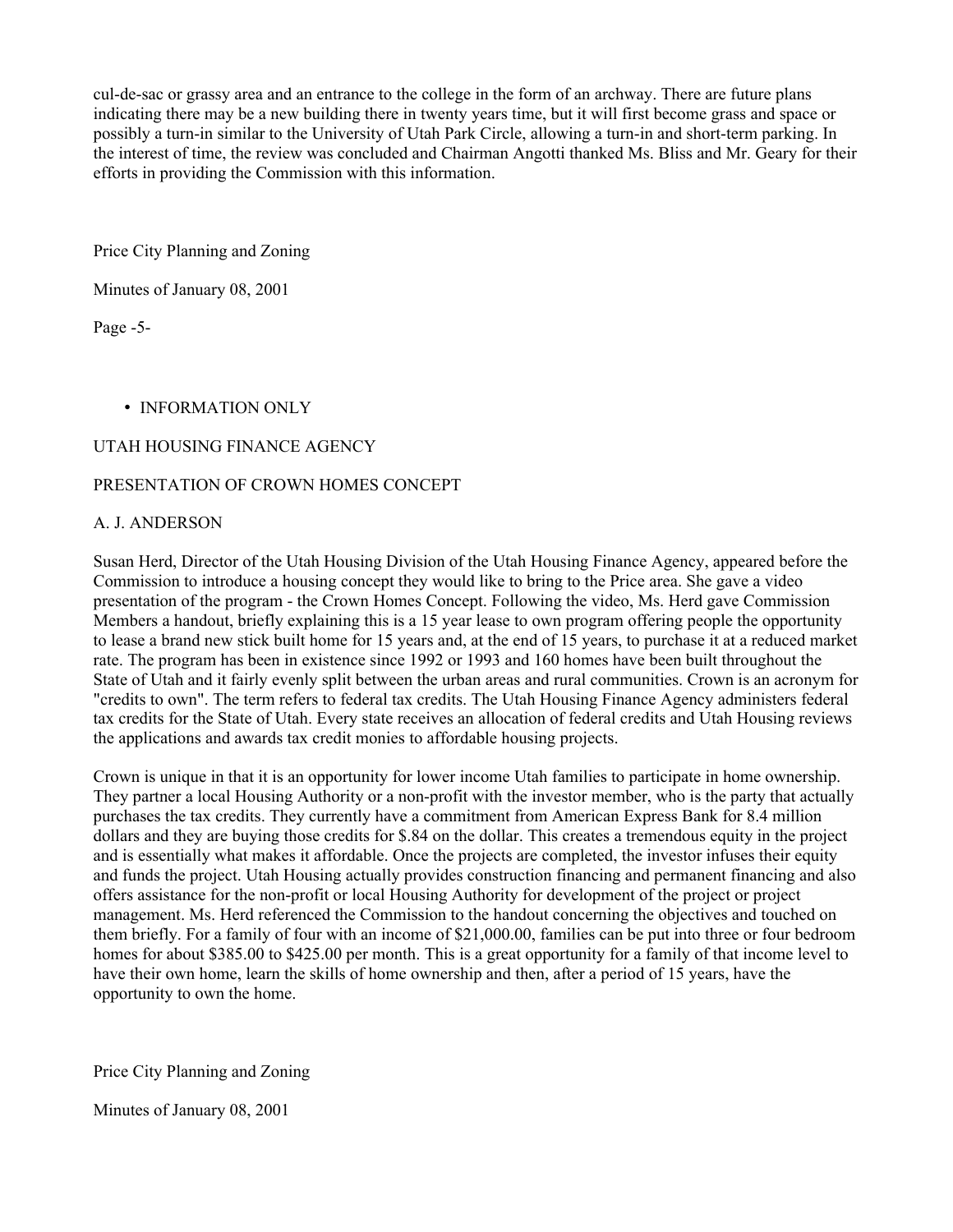cul-de-sac or grassy area and an entrance to the college in the form of an archway. There are future plans indicating there may be a new building there in twenty years time, but it will first become grass and space or possibly a turn-in similar to the University of Utah Park Circle, allowing a turn-in and short-term parking. In the interest of time, the review was concluded and Chairman Angotti thanked Ms. Bliss and Mr. Geary for their efforts in providing the Commission with this information.

Price City Planning and Zoning

Minutes of January 08, 2001

Page -5-

### • INFORMATION ONLY

# UTAH HOUSING FINANCE AGENCY

### PRESENTATION OF CROWN HOMES CONCEPT

### A. J. ANDERSON

Susan Herd, Director of the Utah Housing Division of the Utah Housing Finance Agency, appeared before the Commission to introduce a housing concept they would like to bring to the Price area. She gave a video presentation of the program - the Crown Homes Concept. Following the video, Ms. Herd gave Commission Members a handout, briefly explaining this is a 15 year lease to own program offering people the opportunity to lease a brand new stick built home for 15 years and, at the end of 15 years, to purchase it at a reduced market rate. The program has been in existence since 1992 or 1993 and 160 homes have been built throughout the State of Utah and it fairly evenly split between the urban areas and rural communities. Crown is an acronym for "credits to own". The term refers to federal tax credits. The Utah Housing Finance Agency administers federal tax credits for the State of Utah. Every state receives an allocation of federal credits and Utah Housing reviews the applications and awards tax credit monies to affordable housing projects.

Crown is unique in that it is an opportunity for lower income Utah families to participate in home ownership. They partner a local Housing Authority or a non-profit with the investor member, who is the party that actually purchases the tax credits. They currently have a commitment from American Express Bank for 8.4 million dollars and they are buying those credits for \$.84 on the dollar. This creates a tremendous equity in the project and is essentially what makes it affordable. Once the projects are completed, the investor infuses their equity and funds the project. Utah Housing actually provides construction financing and permanent financing and also offers assistance for the non-profit or local Housing Authority for development of the project or project management. Ms. Herd referenced the Commission to the handout concerning the objectives and touched on them briefly. For a family of four with an income of \$21,000.00, families can be put into three or four bedroom homes for about \$385.00 to \$425.00 per month. This is a great opportunity for a family of that income level to have their own home, learn the skills of home ownership and then, after a period of 15 years, have the opportunity to own the home.

Price City Planning and Zoning

Minutes of January 08, 2001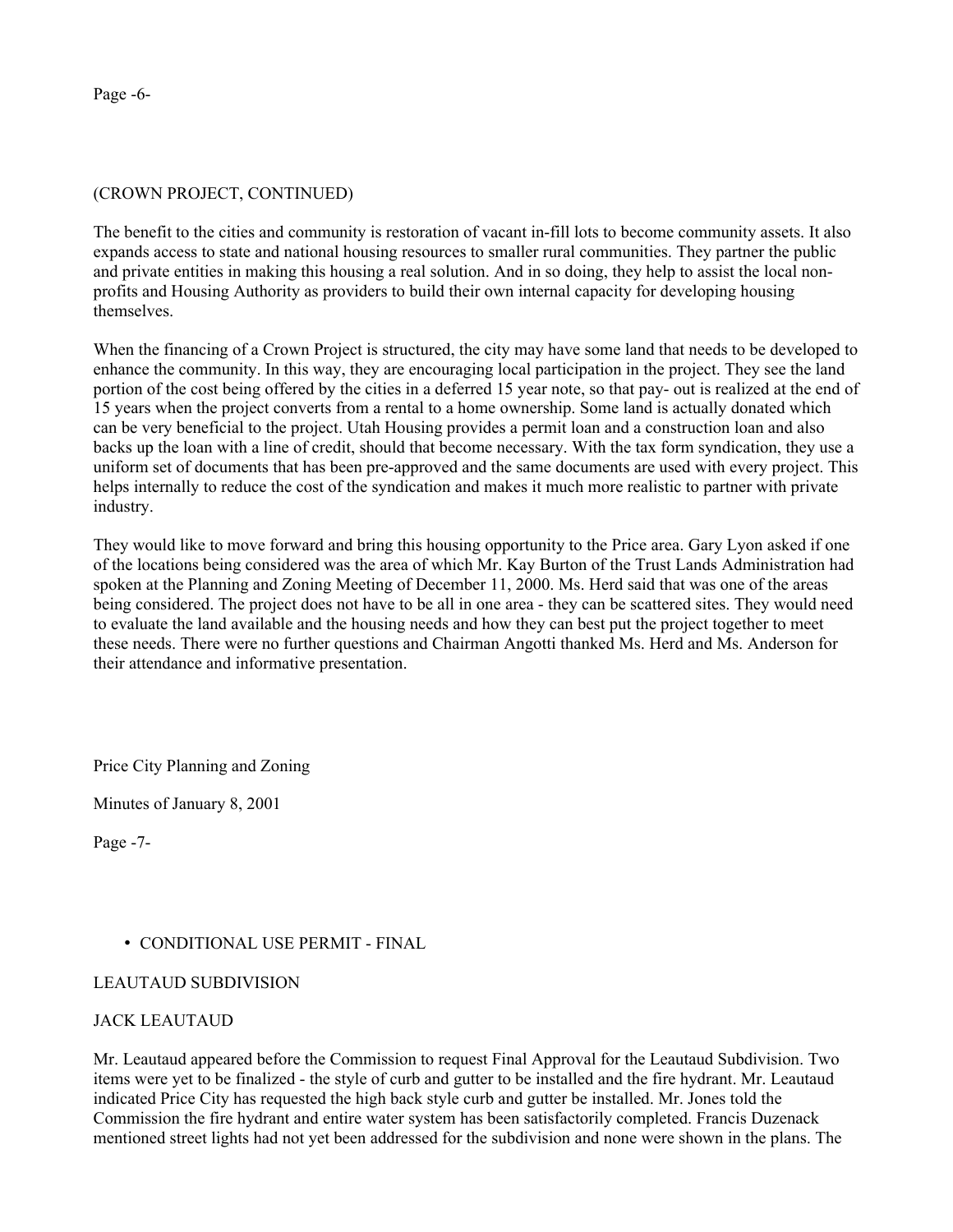### (CROWN PROJECT, CONTINUED)

The benefit to the cities and community is restoration of vacant in-fill lots to become community assets. It also expands access to state and national housing resources to smaller rural communities. They partner the public and private entities in making this housing a real solution. And in so doing, they help to assist the local nonprofits and Housing Authority as providers to build their own internal capacity for developing housing themselves.

When the financing of a Crown Project is structured, the city may have some land that needs to be developed to enhance the community. In this way, they are encouraging local participation in the project. They see the land portion of the cost being offered by the cities in a deferred 15 year note, so that pay- out is realized at the end of 15 years when the project converts from a rental to a home ownership. Some land is actually donated which can be very beneficial to the project. Utah Housing provides a permit loan and a construction loan and also backs up the loan with a line of credit, should that become necessary. With the tax form syndication, they use a uniform set of documents that has been pre-approved and the same documents are used with every project. This helps internally to reduce the cost of the syndication and makes it much more realistic to partner with private industry.

They would like to move forward and bring this housing opportunity to the Price area. Gary Lyon asked if one of the locations being considered was the area of which Mr. Kay Burton of the Trust Lands Administration had spoken at the Planning and Zoning Meeting of December 11, 2000. Ms. Herd said that was one of the areas being considered. The project does not have to be all in one area - they can be scattered sites. They would need to evaluate the land available and the housing needs and how they can best put the project together to meet these needs. There were no further questions and Chairman Angotti thanked Ms. Herd and Ms. Anderson for their attendance and informative presentation.

Price City Planning and Zoning

Minutes of January 8, 2001

Page -7-

# • CONDITIONAL USE PERMIT - FINAL

### LEAUTAUD SUBDIVISION

# JACK LEAUTAUD

Mr. Leautaud appeared before the Commission to request Final Approval for the Leautaud Subdivision. Two items were yet to be finalized - the style of curb and gutter to be installed and the fire hydrant. Mr. Leautaud indicated Price City has requested the high back style curb and gutter be installed. Mr. Jones told the Commission the fire hydrant and entire water system has been satisfactorily completed. Francis Duzenack mentioned street lights had not yet been addressed for the subdivision and none were shown in the plans. The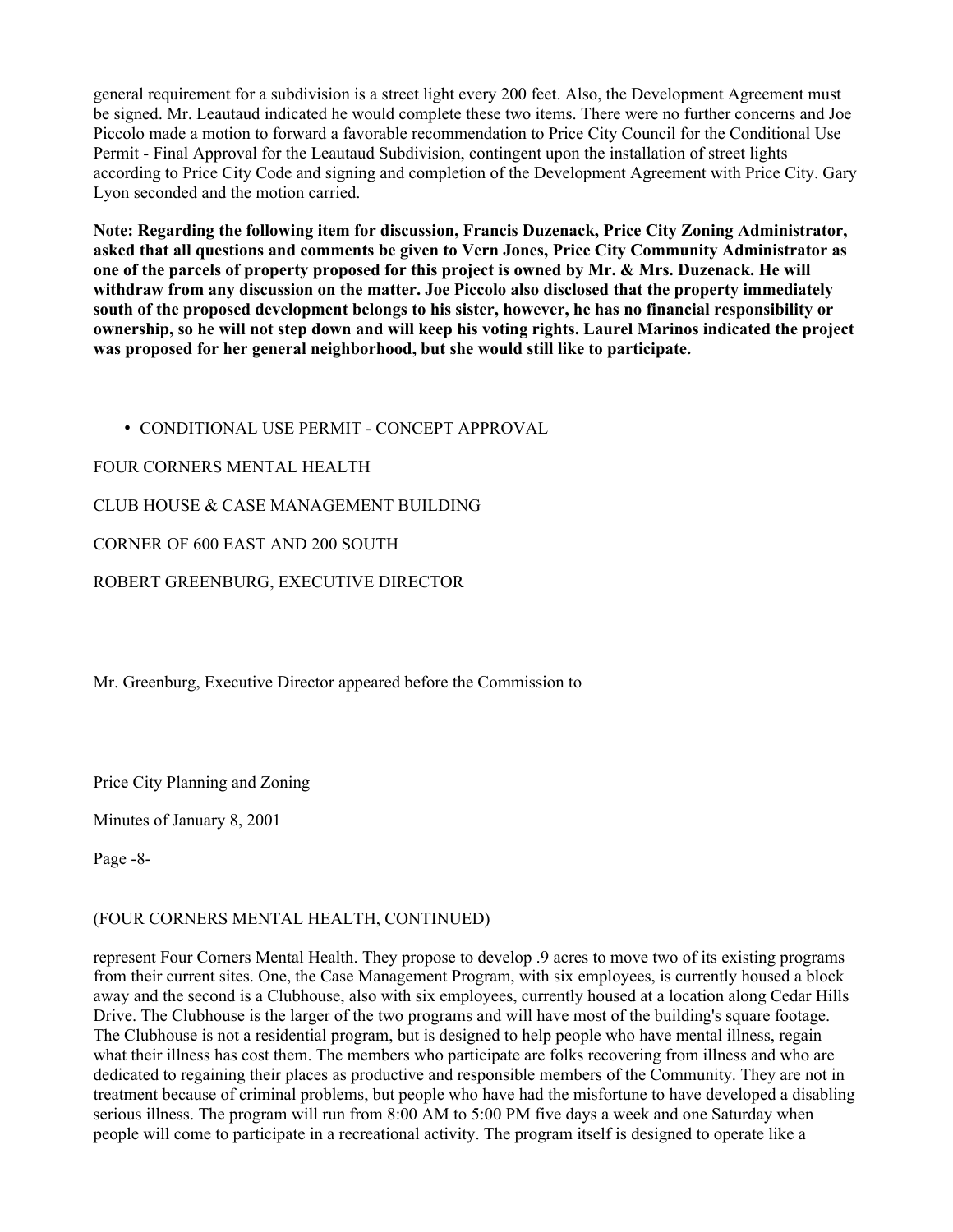general requirement for a subdivision is a street light every 200 feet. Also, the Development Agreement must be signed. Mr. Leautaud indicated he would complete these two items. There were no further concerns and Joe Piccolo made a motion to forward a favorable recommendation to Price City Council for the Conditional Use Permit - Final Approval for the Leautaud Subdivision, contingent upon the installation of street lights according to Price City Code and signing and completion of the Development Agreement with Price City. Gary Lyon seconded and the motion carried.

Note: Regarding the following item for discussion, Francis Duzenack, Price City Zoning Administrator, asked that all questions and comments be given to Vern Jones, Price City Community Administrator as one of the parcels of property proposed for this project is owned by Mr. & Mrs. Duzenack. He will withdraw from any discussion on the matter. Joe Piccolo also disclosed that the property immediately south of the proposed development belongs to his sister, however, he has no financial responsibility or ownership, so he will not step down and will keep his voting rights. Laurel Marinos indicated the project was proposed for her general neighborhood, but she would still like to participate.

• CONDITIONAL USE PERMIT - CONCEPT APPROVAL FOUR CORNERS MENTAL HEALTH CLUB HOUSE & CASE MANAGEMENT BUILDING CORNER OF 600 EAST AND 200 SOUTH ROBERT GREENBURG, EXECUTIVE DIRECTOR

Mr. Greenburg, Executive Director appeared before the Commission to

Price City Planning and Zoning

Minutes of January 8, 2001

Page -8-

# (FOUR CORNERS MENTAL HEALTH, CONTINUED)

represent Four Corners Mental Health. They propose to develop .9 acres to move two of its existing programs from their current sites. One, the Case Management Program, with six employees, is currently housed a block away and the second is a Clubhouse, also with six employees, currently housed at a location along Cedar Hills Drive. The Clubhouse is the larger of the two programs and will have most of the building's square footage. The Clubhouse is not a residential program, but is designed to help people who have mental illness, regain what their illness has cost them. The members who participate are folks recovering from illness and who are dedicated to regaining their places as productive and responsible members of the Community. They are not in treatment because of criminal problems, but people who have had the misfortune to have developed a disabling serious illness. The program will run from 8:00 AM to 5:00 PM five days a week and one Saturday when people will come to participate in a recreational activity. The program itself is designed to operate like a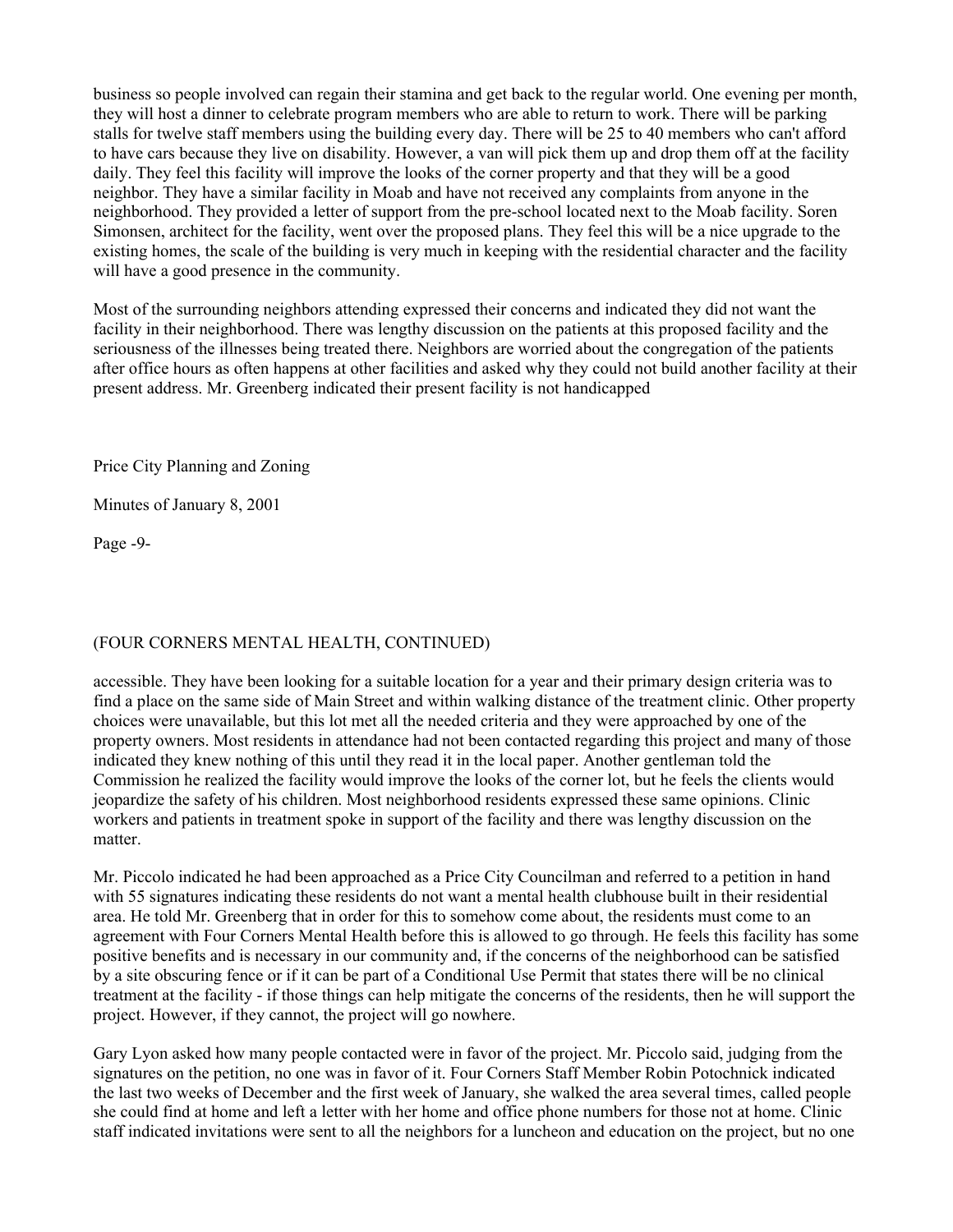business so people involved can regain their stamina and get back to the regular world. One evening per month, they will host a dinner to celebrate program members who are able to return to work. There will be parking stalls for twelve staff members using the building every day. There will be 25 to 40 members who can't afford to have cars because they live on disability. However, a van will pick them up and drop them off at the facility daily. They feel this facility will improve the looks of the corner property and that they will be a good neighbor. They have a similar facility in Moab and have not received any complaints from anyone in the neighborhood. They provided a letter of support from the pre-school located next to the Moab facility. Soren Simonsen, architect for the facility, went over the proposed plans. They feel this will be a nice upgrade to the existing homes, the scale of the building is very much in keeping with the residential character and the facility will have a good presence in the community.

Most of the surrounding neighbors attending expressed their concerns and indicated they did not want the facility in their neighborhood. There was lengthy discussion on the patients at this proposed facility and the seriousness of the illnesses being treated there. Neighbors are worried about the congregation of the patients after office hours as often happens at other facilities and asked why they could not build another facility at their present address. Mr. Greenberg indicated their present facility is not handicapped

Price City Planning and Zoning

Minutes of January 8, 2001

Page -9-

# (FOUR CORNERS MENTAL HEALTH, CONTINUED)

accessible. They have been looking for a suitable location for a year and their primary design criteria was to find a place on the same side of Main Street and within walking distance of the treatment clinic. Other property choices were unavailable, but this lot met all the needed criteria and they were approached by one of the property owners. Most residents in attendance had not been contacted regarding this project and many of those indicated they knew nothing of this until they read it in the local paper. Another gentleman told the Commission he realized the facility would improve the looks of the corner lot, but he feels the clients would jeopardize the safety of his children. Most neighborhood residents expressed these same opinions. Clinic workers and patients in treatment spoke in support of the facility and there was lengthy discussion on the matter.

Mr. Piccolo indicated he had been approached as a Price City Councilman and referred to a petition in hand with 55 signatures indicating these residents do not want a mental health clubhouse built in their residential area. He told Mr. Greenberg that in order for this to somehow come about, the residents must come to an agreement with Four Corners Mental Health before this is allowed to go through. He feels this facility has some positive benefits and is necessary in our community and, if the concerns of the neighborhood can be satisfied by a site obscuring fence or if it can be part of a Conditional Use Permit that states there will be no clinical treatment at the facility - if those things can help mitigate the concerns of the residents, then he will support the project. However, if they cannot, the project will go nowhere.

Gary Lyon asked how many people contacted were in favor of the project. Mr. Piccolo said, judging from the signatures on the petition, no one was in favor of it. Four Corners Staff Member Robin Potochnick indicated the last two weeks of December and the first week of January, she walked the area several times, called people she could find at home and left a letter with her home and office phone numbers for those not at home. Clinic staff indicated invitations were sent to all the neighbors for a luncheon and education on the project, but no one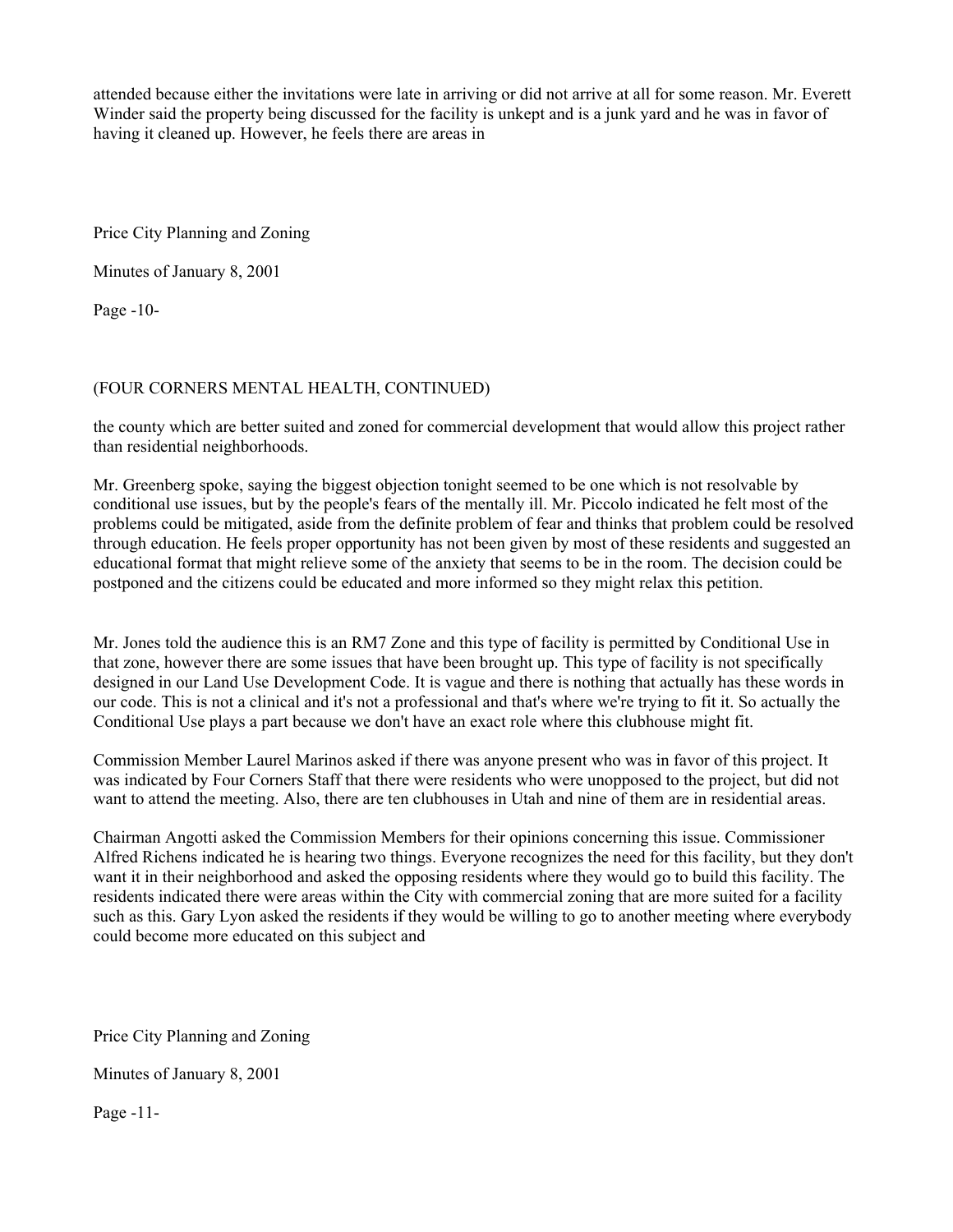attended because either the invitations were late in arriving or did not arrive at all for some reason. Mr. Everett Winder said the property being discussed for the facility is unkept and is a junk yard and he was in favor of having it cleaned up. However, he feels there are areas in

Price City Planning and Zoning

Minutes of January 8, 2001

Page -10-

# (FOUR CORNERS MENTAL HEALTH, CONTINUED)

the county which are better suited and zoned for commercial development that would allow this project rather than residential neighborhoods.

Mr. Greenberg spoke, saying the biggest objection tonight seemed to be one which is not resolvable by conditional use issues, but by the people's fears of the mentally ill. Mr. Piccolo indicated he felt most of the problems could be mitigated, aside from the definite problem of fear and thinks that problem could be resolved through education. He feels proper opportunity has not been given by most of these residents and suggested an educational format that might relieve some of the anxiety that seems to be in the room. The decision could be postponed and the citizens could be educated and more informed so they might relax this petition.

Mr. Jones told the audience this is an RM7 Zone and this type of facility is permitted by Conditional Use in that zone, however there are some issues that have been brought up. This type of facility is not specifically designed in our Land Use Development Code. It is vague and there is nothing that actually has these words in our code. This is not a clinical and it's not a professional and that's where we're trying to fit it. So actually the Conditional Use plays a part because we don't have an exact role where this clubhouse might fit.

Commission Member Laurel Marinos asked if there was anyone present who was in favor of this project. It was indicated by Four Corners Staff that there were residents who were unopposed to the project, but did not want to attend the meeting. Also, there are ten clubhouses in Utah and nine of them are in residential areas.

Chairman Angotti asked the Commission Members for their opinions concerning this issue. Commissioner Alfred Richens indicated he is hearing two things. Everyone recognizes the need for this facility, but they don't want it in their neighborhood and asked the opposing residents where they would go to build this facility. The residents indicated there were areas within the City with commercial zoning that are more suited for a facility such as this. Gary Lyon asked the residents if they would be willing to go to another meeting where everybody could become more educated on this subject and

Price City Planning and Zoning

Minutes of January 8, 2001

Page -11-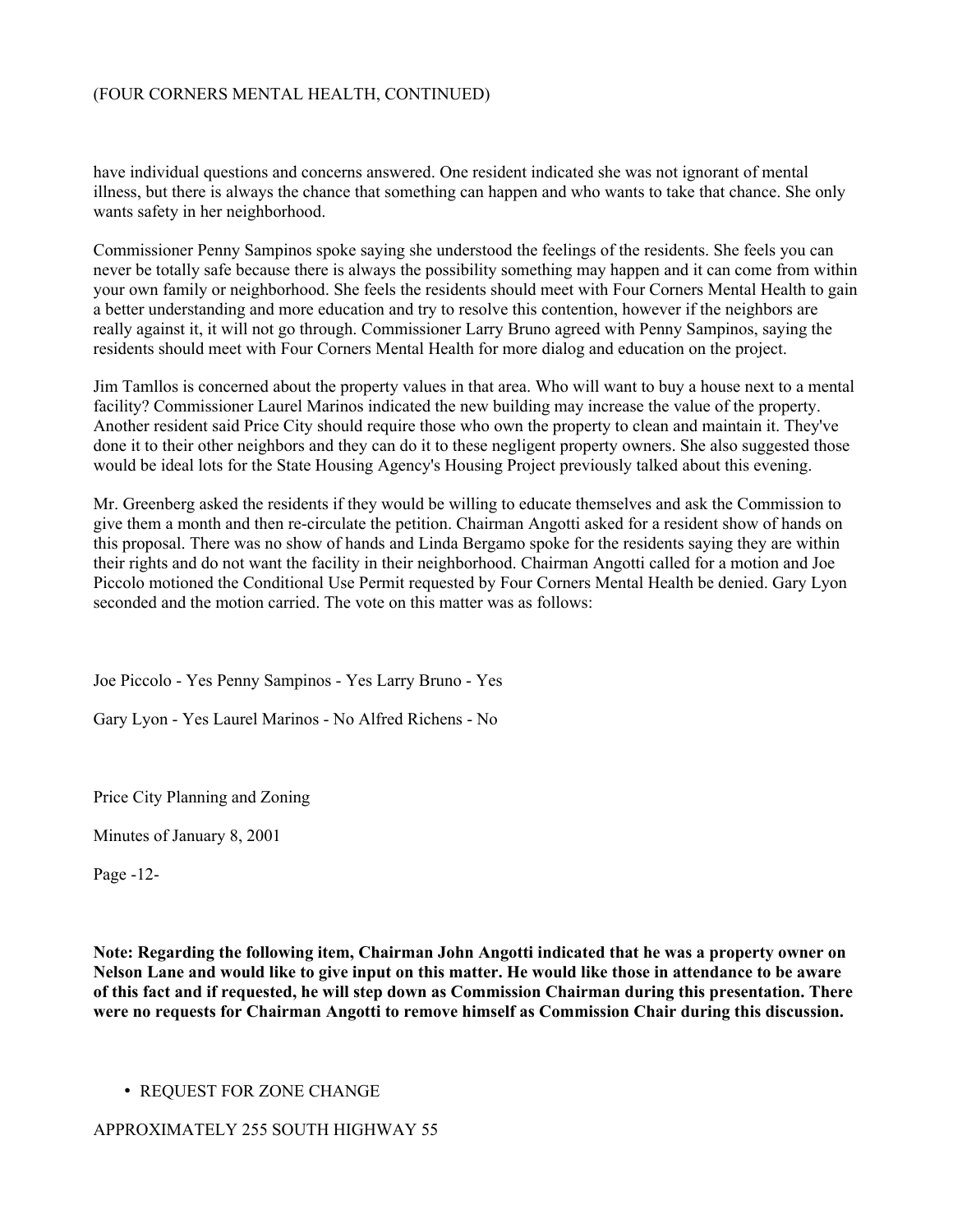### (FOUR CORNERS MENTAL HEALTH, CONTINUED)

have individual questions and concerns answered. One resident indicated she was not ignorant of mental illness, but there is always the chance that something can happen and who wants to take that chance. She only wants safety in her neighborhood.

Commissioner Penny Sampinos spoke saying she understood the feelings of the residents. She feels you can never be totally safe because there is always the possibility something may happen and it can come from within your own family or neighborhood. She feels the residents should meet with Four Corners Mental Health to gain a better understanding and more education and try to resolve this contention, however if the neighbors are really against it, it will not go through. Commissioner Larry Bruno agreed with Penny Sampinos, saying the residents should meet with Four Corners Mental Health for more dialog and education on the project.

Jim Tamllos is concerned about the property values in that area. Who will want to buy a house next to a mental facility? Commissioner Laurel Marinos indicated the new building may increase the value of the property. Another resident said Price City should require those who own the property to clean and maintain it. They've done it to their other neighbors and they can do it to these negligent property owners. She also suggested those would be ideal lots for the State Housing Agency's Housing Project previously talked about this evening.

Mr. Greenberg asked the residents if they would be willing to educate themselves and ask the Commission to give them a month and then re-circulate the petition. Chairman Angotti asked for a resident show of hands on this proposal. There was no show of hands and Linda Bergamo spoke for the residents saying they are within their rights and do not want the facility in their neighborhood. Chairman Angotti called for a motion and Joe Piccolo motioned the Conditional Use Permit requested by Four Corners Mental Health be denied. Gary Lyon seconded and the motion carried. The vote on this matter was as follows:

Joe Piccolo - Yes Penny Sampinos - Yes Larry Bruno - Yes

Gary Lyon - Yes Laurel Marinos - No Alfred Richens - No

Price City Planning and Zoning

Minutes of January 8, 2001

Page -12-

Note: Regarding the following item, Chairman John Angotti indicated that he was a property owner on Nelson Lane and would like to give input on this matter. He would like those in attendance to be aware of this fact and if requested, he will step down as Commission Chairman during this presentation. There were no requests for Chairman Angotti to remove himself as Commission Chair during this discussion.

### • REQUEST FOR ZONE CHANGE

APPROXIMATELY 255 SOUTH HIGHWAY 55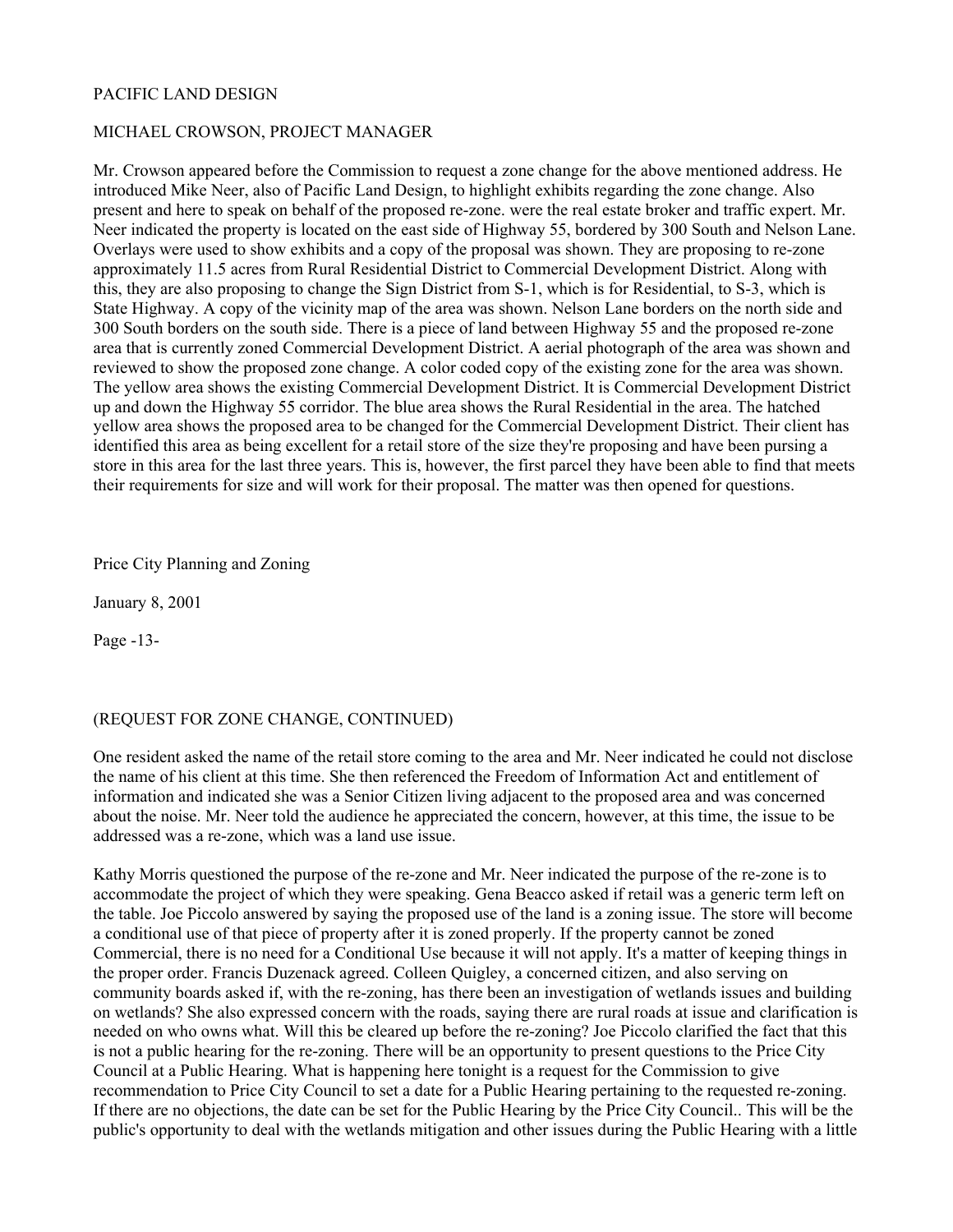# PACIFIC LAND DESIGN

### MICHAEL CROWSON, PROJECT MANAGER

Mr. Crowson appeared before the Commission to request a zone change for the above mentioned address. He introduced Mike Neer, also of Pacific Land Design, to highlight exhibits regarding the zone change. Also present and here to speak on behalf of the proposed re-zone. were the real estate broker and traffic expert. Mr. Neer indicated the property is located on the east side of Highway 55, bordered by 300 South and Nelson Lane. Overlays were used to show exhibits and a copy of the proposal was shown. They are proposing to re-zone approximately 11.5 acres from Rural Residential District to Commercial Development District. Along with this, they are also proposing to change the Sign District from S-1, which is for Residential, to S-3, which is State Highway. A copy of the vicinity map of the area was shown. Nelson Lane borders on the north side and 300 South borders on the south side. There is a piece of land between Highway 55 and the proposed re-zone area that is currently zoned Commercial Development District. A aerial photograph of the area was shown and reviewed to show the proposed zone change. A color coded copy of the existing zone for the area was shown. The yellow area shows the existing Commercial Development District. It is Commercial Development District up and down the Highway 55 corridor. The blue area shows the Rural Residential in the area. The hatched yellow area shows the proposed area to be changed for the Commercial Development District. Their client has identified this area as being excellent for a retail store of the size they're proposing and have been pursing a store in this area for the last three years. This is, however, the first parcel they have been able to find that meets their requirements for size and will work for their proposal. The matter was then opened for questions.

Price City Planning and Zoning

January 8, 2001

Page -13-

### (REQUEST FOR ZONE CHANGE, CONTINUED)

One resident asked the name of the retail store coming to the area and Mr. Neer indicated he could not disclose the name of his client at this time. She then referenced the Freedom of Information Act and entitlement of information and indicated she was a Senior Citizen living adjacent to the proposed area and was concerned about the noise. Mr. Neer told the audience he appreciated the concern, however, at this time, the issue to be addressed was a re-zone, which was a land use issue.

Kathy Morris questioned the purpose of the re-zone and Mr. Neer indicated the purpose of the re-zone is to accommodate the project of which they were speaking. Gena Beacco asked if retail was a generic term left on the table. Joe Piccolo answered by saying the proposed use of the land is a zoning issue. The store will become a conditional use of that piece of property after it is zoned properly. If the property cannot be zoned Commercial, there is no need for a Conditional Use because it will not apply. It's a matter of keeping things in the proper order. Francis Duzenack agreed. Colleen Quigley, a concerned citizen, and also serving on community boards asked if, with the re-zoning, has there been an investigation of wetlands issues and building on wetlands? She also expressed concern with the roads, saying there are rural roads at issue and clarification is needed on who owns what. Will this be cleared up before the re-zoning? Joe Piccolo clarified the fact that this is not a public hearing for the re-zoning. There will be an opportunity to present questions to the Price City Council at a Public Hearing. What is happening here tonight is a request for the Commission to give recommendation to Price City Council to set a date for a Public Hearing pertaining to the requested re-zoning. If there are no objections, the date can be set for the Public Hearing by the Price City Council.. This will be the public's opportunity to deal with the wetlands mitigation and other issues during the Public Hearing with a little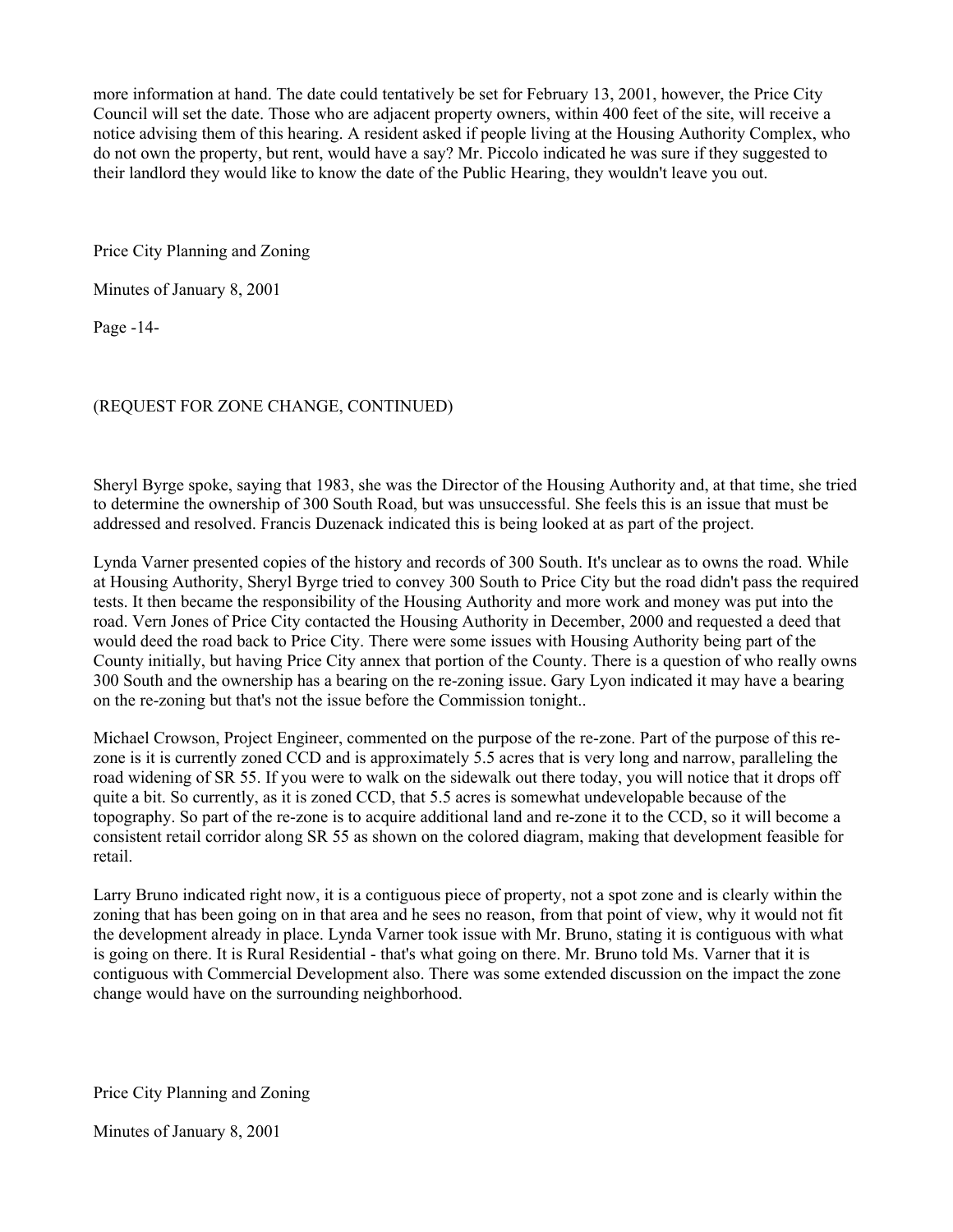more information at hand. The date could tentatively be set for February 13, 2001, however, the Price City Council will set the date. Those who are adjacent property owners, within 400 feet of the site, will receive a notice advising them of this hearing. A resident asked if people living at the Housing Authority Complex, who do not own the property, but rent, would have a say? Mr. Piccolo indicated he was sure if they suggested to their landlord they would like to know the date of the Public Hearing, they wouldn't leave you out.

Price City Planning and Zoning

Minutes of January 8, 2001

Page -14-

### (REQUEST FOR ZONE CHANGE, CONTINUED)

Sheryl Byrge spoke, saying that 1983, she was the Director of the Housing Authority and, at that time, she tried to determine the ownership of 300 South Road, but was unsuccessful. She feels this is an issue that must be addressed and resolved. Francis Duzenack indicated this is being looked at as part of the project.

Lynda Varner presented copies of the history and records of 300 South. It's unclear as to owns the road. While at Housing Authority, Sheryl Byrge tried to convey 300 South to Price City but the road didn't pass the required tests. It then became the responsibility of the Housing Authority and more work and money was put into the road. Vern Jones of Price City contacted the Housing Authority in December, 2000 and requested a deed that would deed the road back to Price City. There were some issues with Housing Authority being part of the County initially, but having Price City annex that portion of the County. There is a question of who really owns 300 South and the ownership has a bearing on the re-zoning issue. Gary Lyon indicated it may have a bearing on the re-zoning but that's not the issue before the Commission tonight..

Michael Crowson, Project Engineer, commented on the purpose of the re-zone. Part of the purpose of this rezone is it is currently zoned CCD and is approximately 5.5 acres that is very long and narrow, paralleling the road widening of SR 55. If you were to walk on the sidewalk out there today, you will notice that it drops off quite a bit. So currently, as it is zoned CCD, that 5.5 acres is somewhat undevelopable because of the topography. So part of the re-zone is to acquire additional land and re-zone it to the CCD, so it will become a consistent retail corridor along SR 55 as shown on the colored diagram, making that development feasible for retail.

Larry Bruno indicated right now, it is a contiguous piece of property, not a spot zone and is clearly within the zoning that has been going on in that area and he sees no reason, from that point of view, why it would not fit the development already in place. Lynda Varner took issue with Mr. Bruno, stating it is contiguous with what is going on there. It is Rural Residential - that's what going on there. Mr. Bruno told Ms. Varner that it is contiguous with Commercial Development also. There was some extended discussion on the impact the zone change would have on the surrounding neighborhood.

Price City Planning and Zoning

Minutes of January 8, 2001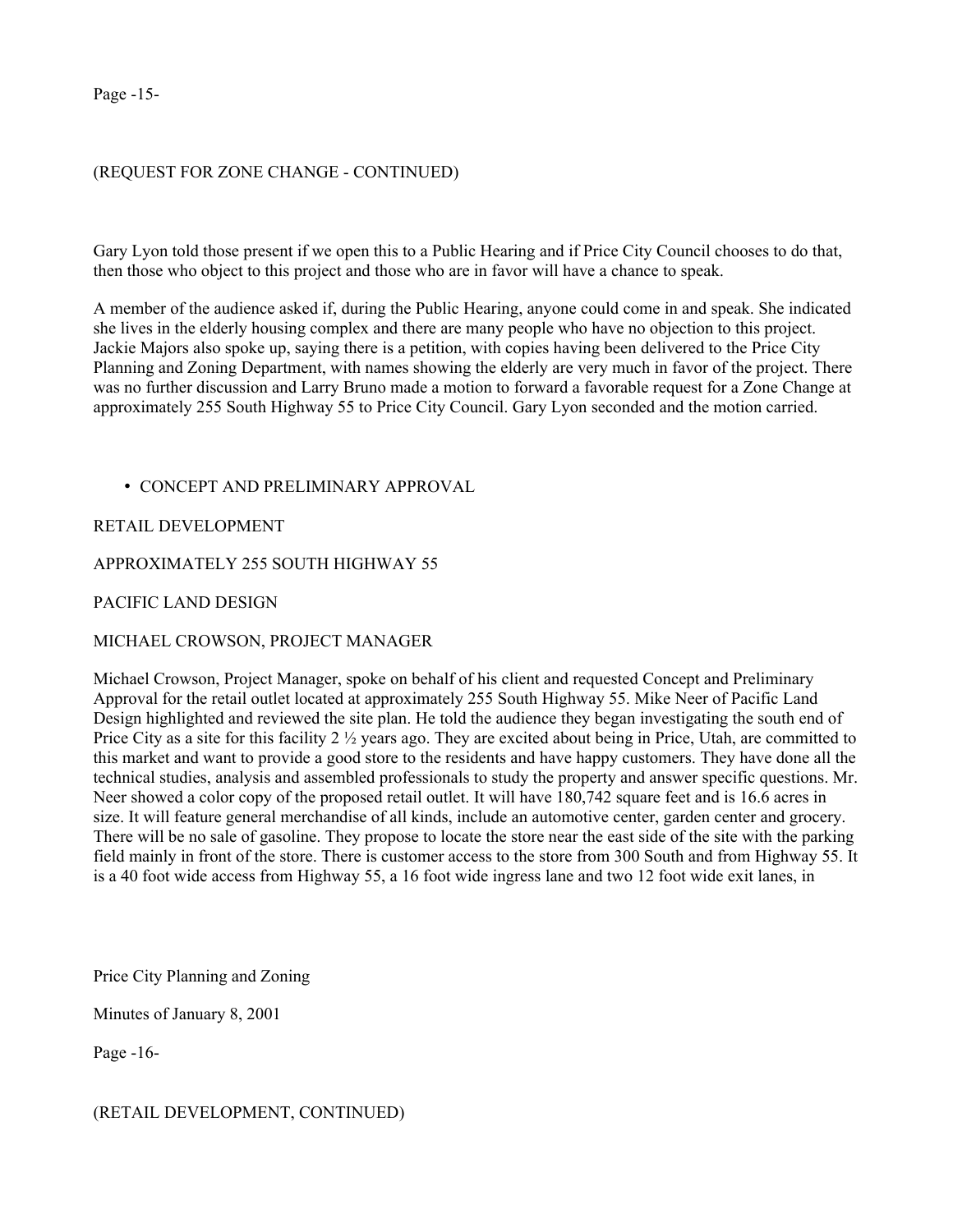Page -15-

### (REQUEST FOR ZONE CHANGE - CONTINUED)

Gary Lyon told those present if we open this to a Public Hearing and if Price City Council chooses to do that, then those who object to this project and those who are in favor will have a chance to speak.

A member of the audience asked if, during the Public Hearing, anyone could come in and speak. She indicated she lives in the elderly housing complex and there are many people who have no objection to this project. Jackie Majors also spoke up, saying there is a petition, with copies having been delivered to the Price City Planning and Zoning Department, with names showing the elderly are very much in favor of the project. There was no further discussion and Larry Bruno made a motion to forward a favorable request for a Zone Change at approximately 255 South Highway 55 to Price City Council. Gary Lyon seconded and the motion carried.

### • CONCEPT AND PRELIMINARY APPROVAL

RETAIL DEVELOPMENT

#### APPROXIMATELY 255 SOUTH HIGHWAY 55

PACIFIC LAND DESIGN

### MICHAEL CROWSON, PROJECT MANAGER

Michael Crowson, Project Manager, spoke on behalf of his client and requested Concept and Preliminary Approval for the retail outlet located at approximately 255 South Highway 55. Mike Neer of Pacific Land Design highlighted and reviewed the site plan. He told the audience they began investigating the south end of Price City as a site for this facility 2 ½ years ago. They are excited about being in Price, Utah, are committed to this market and want to provide a good store to the residents and have happy customers. They have done all the technical studies, analysis and assembled professionals to study the property and answer specific questions. Mr. Neer showed a color copy of the proposed retail outlet. It will have 180,742 square feet and is 16.6 acres in size. It will feature general merchandise of all kinds, include an automotive center, garden center and grocery. There will be no sale of gasoline. They propose to locate the store near the east side of the site with the parking field mainly in front of the store. There is customer access to the store from 300 South and from Highway 55. It is a 40 foot wide access from Highway 55, a 16 foot wide ingress lane and two 12 foot wide exit lanes, in

Price City Planning and Zoning

Minutes of January 8, 2001

Page -16-

### (RETAIL DEVELOPMENT, CONTINUED)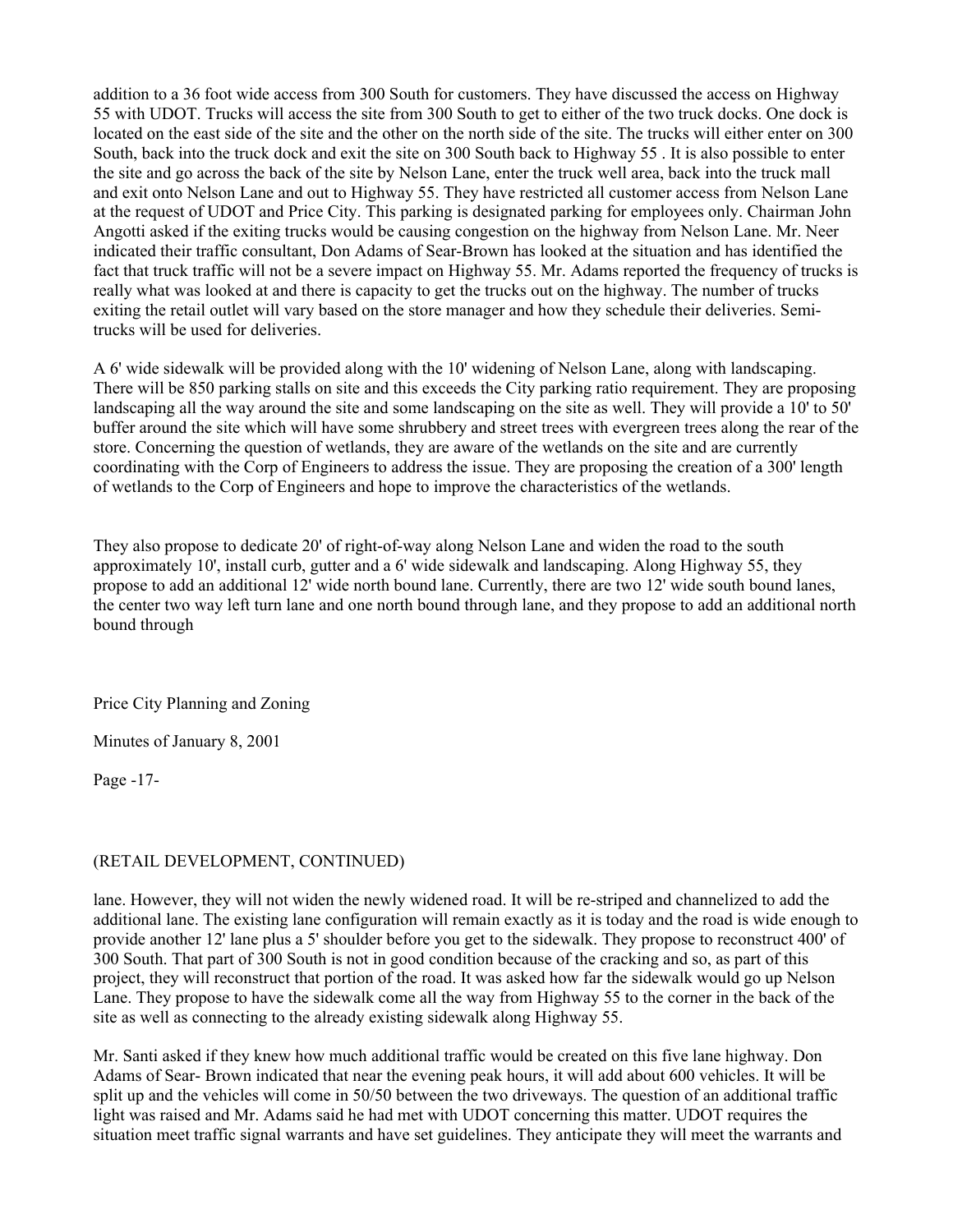addition to a 36 foot wide access from 300 South for customers. They have discussed the access on Highway 55 with UDOT. Trucks will access the site from 300 South to get to either of the two truck docks. One dock is located on the east side of the site and the other on the north side of the site. The trucks will either enter on 300 South, back into the truck dock and exit the site on 300 South back to Highway 55 . It is also possible to enter the site and go across the back of the site by Nelson Lane, enter the truck well area, back into the truck mall and exit onto Nelson Lane and out to Highway 55. They have restricted all customer access from Nelson Lane at the request of UDOT and Price City. This parking is designated parking for employees only. Chairman John Angotti asked if the exiting trucks would be causing congestion on the highway from Nelson Lane. Mr. Neer indicated their traffic consultant, Don Adams of Sear-Brown has looked at the situation and has identified the fact that truck traffic will not be a severe impact on Highway 55. Mr. Adams reported the frequency of trucks is really what was looked at and there is capacity to get the trucks out on the highway. The number of trucks exiting the retail outlet will vary based on the store manager and how they schedule their deliveries. Semitrucks will be used for deliveries.

A 6' wide sidewalk will be provided along with the 10' widening of Nelson Lane, along with landscaping. There will be 850 parking stalls on site and this exceeds the City parking ratio requirement. They are proposing landscaping all the way around the site and some landscaping on the site as well. They will provide a 10' to 50' buffer around the site which will have some shrubbery and street trees with evergreen trees along the rear of the store. Concerning the question of wetlands, they are aware of the wetlands on the site and are currently coordinating with the Corp of Engineers to address the issue. They are proposing the creation of a 300' length of wetlands to the Corp of Engineers and hope to improve the characteristics of the wetlands.

They also propose to dedicate 20' of right-of-way along Nelson Lane and widen the road to the south approximately 10', install curb, gutter and a 6' wide sidewalk and landscaping. Along Highway 55, they propose to add an additional 12' wide north bound lane. Currently, there are two 12' wide south bound lanes, the center two way left turn lane and one north bound through lane, and they propose to add an additional north bound through

Price City Planning and Zoning

Minutes of January 8, 2001

Page -17-

### (RETAIL DEVELOPMENT, CONTINUED)

lane. However, they will not widen the newly widened road. It will be re-striped and channelized to add the additional lane. The existing lane configuration will remain exactly as it is today and the road is wide enough to provide another 12' lane plus a 5' shoulder before you get to the sidewalk. They propose to reconstruct 400' of 300 South. That part of 300 South is not in good condition because of the cracking and so, as part of this project, they will reconstruct that portion of the road. It was asked how far the sidewalk would go up Nelson Lane. They propose to have the sidewalk come all the way from Highway 55 to the corner in the back of the site as well as connecting to the already existing sidewalk along Highway 55.

Mr. Santi asked if they knew how much additional traffic would be created on this five lane highway. Don Adams of Sear- Brown indicated that near the evening peak hours, it will add about 600 vehicles. It will be split up and the vehicles will come in 50/50 between the two driveways. The question of an additional traffic light was raised and Mr. Adams said he had met with UDOT concerning this matter. UDOT requires the situation meet traffic signal warrants and have set guidelines. They anticipate they will meet the warrants and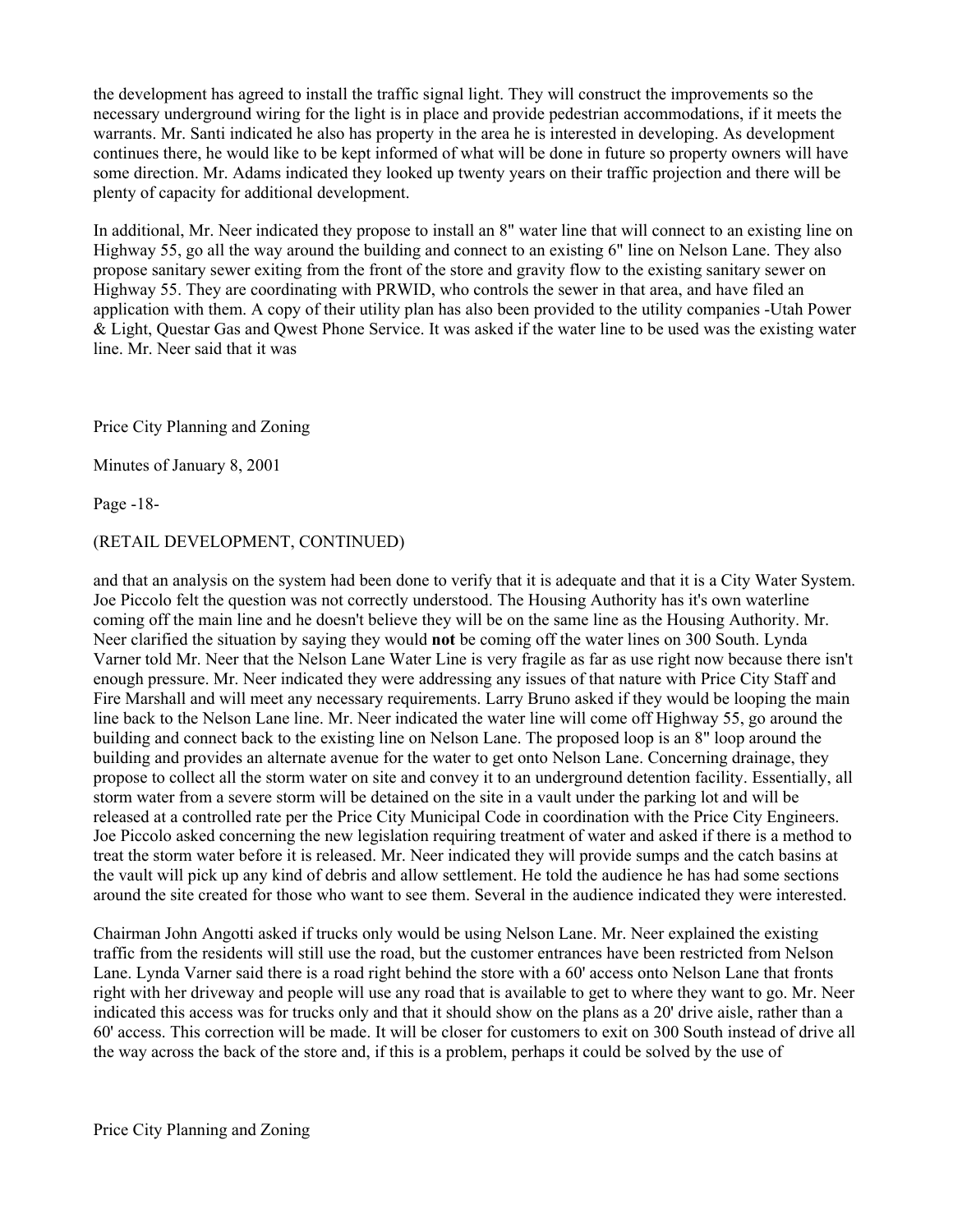the development has agreed to install the traffic signal light. They will construct the improvements so the necessary underground wiring for the light is in place and provide pedestrian accommodations, if it meets the warrants. Mr. Santi indicated he also has property in the area he is interested in developing. As development continues there, he would like to be kept informed of what will be done in future so property owners will have some direction. Mr. Adams indicated they looked up twenty years on their traffic projection and there will be plenty of capacity for additional development.

In additional, Mr. Neer indicated they propose to install an 8" water line that will connect to an existing line on Highway 55, go all the way around the building and connect to an existing 6" line on Nelson Lane. They also propose sanitary sewer exiting from the front of the store and gravity flow to the existing sanitary sewer on Highway 55. They are coordinating with PRWID, who controls the sewer in that area, and have filed an application with them. A copy of their utility plan has also been provided to the utility companies -Utah Power & Light, Questar Gas and Qwest Phone Service. It was asked if the water line to be used was the existing water line. Mr. Neer said that it was

Price City Planning and Zoning

Minutes of January 8, 2001

Page -18-

### (RETAIL DEVELOPMENT, CONTINUED)

and that an analysis on the system had been done to verify that it is adequate and that it is a City Water System. Joe Piccolo felt the question was not correctly understood. The Housing Authority has it's own waterline coming off the main line and he doesn't believe they will be on the same line as the Housing Authority. Mr. Neer clarified the situation by saying they would not be coming off the water lines on 300 South. Lynda Varner told Mr. Neer that the Nelson Lane Water Line is very fragile as far as use right now because there isn't enough pressure. Mr. Neer indicated they were addressing any issues of that nature with Price City Staff and Fire Marshall and will meet any necessary requirements. Larry Bruno asked if they would be looping the main line back to the Nelson Lane line. Mr. Neer indicated the water line will come off Highway 55, go around the building and connect back to the existing line on Nelson Lane. The proposed loop is an 8" loop around the building and provides an alternate avenue for the water to get onto Nelson Lane. Concerning drainage, they propose to collect all the storm water on site and convey it to an underground detention facility. Essentially, all storm water from a severe storm will be detained on the site in a vault under the parking lot and will be released at a controlled rate per the Price City Municipal Code in coordination with the Price City Engineers. Joe Piccolo asked concerning the new legislation requiring treatment of water and asked if there is a method to treat the storm water before it is released. Mr. Neer indicated they will provide sumps and the catch basins at the vault will pick up any kind of debris and allow settlement. He told the audience he has had some sections around the site created for those who want to see them. Several in the audience indicated they were interested.

Chairman John Angotti asked if trucks only would be using Nelson Lane. Mr. Neer explained the existing traffic from the residents will still use the road, but the customer entrances have been restricted from Nelson Lane. Lynda Varner said there is a road right behind the store with a 60' access onto Nelson Lane that fronts right with her driveway and people will use any road that is available to get to where they want to go. Mr. Neer indicated this access was for trucks only and that it should show on the plans as a 20' drive aisle, rather than a 60' access. This correction will be made. It will be closer for customers to exit on 300 South instead of drive all the way across the back of the store and, if this is a problem, perhaps it could be solved by the use of